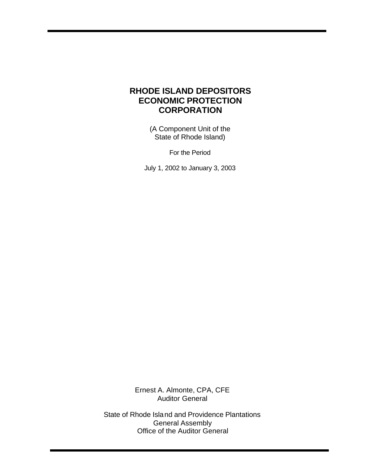# **RHODE ISLAND DEPOSITORS ECONOMIC PROTECTION CORPORATION**

(A Component Unit of the State of Rhode Island)

For the Period

July 1, 2002 to January 3, 2003

Ernest A. Almonte, CPA, CFE Auditor General

State of Rhode Island and Providence Plantations General Assembly Office of the Auditor General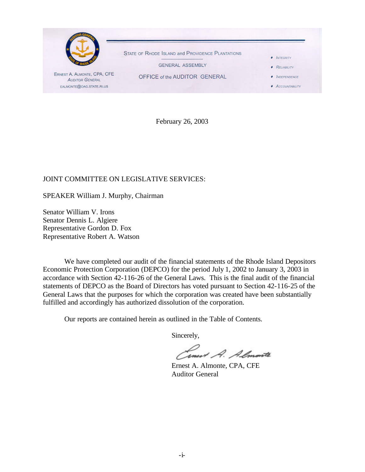

February 26, 2003

### JOINT COMMITTEE ON LEGISLATIVE SERVICES:

SPEAKER William J. Murphy, Chairman

Senator William V. Irons Senator Dennis L. Algiere Representative Gordon D. Fox Representative Robert A. Watson

We have completed our audit of the financial statements of the Rhode Island Depositors Economic Protection Corporation (DEPCO) for the period July 1, 2002 to January 3, 2003 in accordance with Section 42-116-26 of the General Laws. This is the final audit of the financial statements of DEPCO as the Board of Directors has voted pursuant to Section 42-116-25 of the General Laws that the purposes for which the corporation was created have been substantially fulfilled and accordingly has authorized dissolution of the corporation.

Our reports are contained herein as outlined in the Table of Contents.

Sincerely,

rnest A. Almonte

Ernest A. Almonte, CPA, CFE Auditor General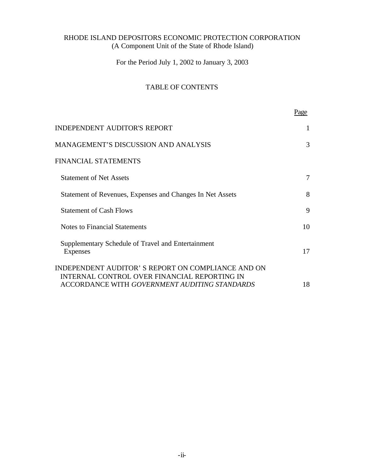For the Period July 1, 2002 to January 3, 2003

# TABLE OF CONTENTS

|                                                                                                                                                    | Page |
|----------------------------------------------------------------------------------------------------------------------------------------------------|------|
| <b>INDEPENDENT AUDITOR'S REPORT</b>                                                                                                                |      |
| <b>MANAGEMENT'S DISCUSSION AND ANALYSIS</b>                                                                                                        | 3    |
| <b>FINANCIAL STATEMENTS</b>                                                                                                                        |      |
| <b>Statement of Net Assets</b>                                                                                                                     | 7    |
| Statement of Revenues, Expenses and Changes In Net Assets                                                                                          | 8    |
| <b>Statement of Cash Flows</b>                                                                                                                     | 9    |
| <b>Notes to Financial Statements</b>                                                                                                               | 10   |
| Supplementary Schedule of Travel and Entertainment<br><b>Expenses</b>                                                                              | 17   |
| INDEPENDENT AUDITOR'S REPORT ON COMPLIANCE AND ON<br>INTERNAL CONTROL OVER FINANCIAL REPORTING IN<br>ACCORDANCE WITH GOVERNMENT AUDITING STANDARDS | 18   |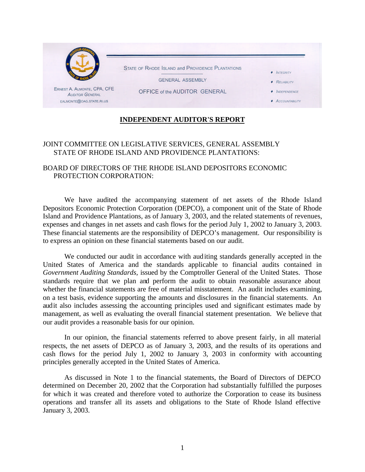

# **INDEPENDENT AUDITOR'S REPORT**

### JOINT COMMITTEE ON LEGISLATIVE SERVICES, GENERAL ASSEMBLY STATE OF RHODE ISLAND AND PROVIDENCE PLANTATIONS:

### BOARD OF DIRECTORS OF THE RHODE ISLAND DEPOSITORS ECONOMIC PROTECTION CORPORATION:

We have audited the accompanying statement of net assets of the Rhode Island Depositors Economic Protection Corporation (DEPCO), a component unit of the State of Rhode Island and Providence Plantations, as of January 3, 2003, and the related statements of revenues, expenses and changes in net assets and cash flows for the period July 1, 2002 to January 3, 2003. These financial statements are the responsibility of DEPCO's management. Our responsibility is to express an opinion on these financial statements based on our audit.

We conducted our audit in accordance with auditing standards generally accepted in the United States of America and the standards applicable to financial audits contained in *Government Auditing Standards,* issued by the Comptroller General of the United States. Those standards require that we plan and perform the audit to obtain reasonable assurance about whether the financial statements are free of material misstatement. An audit includes examining, on a test basis, evidence supporting the amounts and disclosures in the financial statements. An audit also includes assessing the accounting principles used and significant estimates made by management, as well as evaluating the overall financial statement presentation. We believe that our audit provides a reasonable basis for our opinion.

In our opinion, the financial statements referred to above present fairly, in all material respects, the net assets of DEPCO as of January 3, 2003, and the results of its operations and cash flows for the period July 1, 2002 to January 3, 2003 in conformity with accounting principles generally accepted in the United States of America.

As discussed in Note 1 to the financial statements, the Board of Directors of DEPCO determined on December 20, 2002 that the Corporation had substantially fulfilled the purposes for which it was created and therefore voted to authorize the Corporation to cease its business operations and transfer all its assets and obligations to the State of Rhode Island effective January 3, 2003.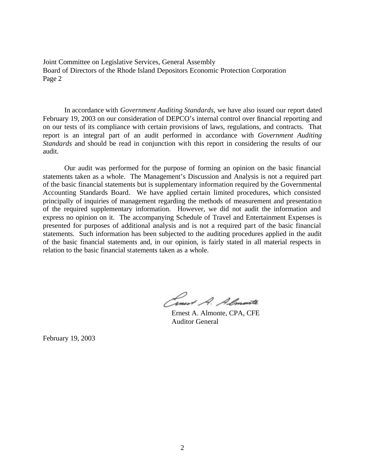Joint Committee on Legislative Services, General Assembly Board of Directors of the Rhode Island Depositors Economic Protection Corporation Page 2

In accordance with *Government Auditing Standards*, we have also issued our report dated February 19, 2003 on our consideration of DEPCO's internal control over financial reporting and on our tests of its compliance with certain provisions of laws, regulations, and contracts. That report is an integral part of an audit performed in accordance with *Government Auditing Standards* and should be read in conjunction with this report in considering the results of our audit.

Our audit was performed for the purpose of forming an opinion on the basic financial statements taken as a whole. The Management's Discussion and Analysis is not a required part of the basic financial statements but is supplementary information required by the Governmental Accounting Standards Board. We have applied certain limited procedures, which consisted principally of inquiries of management regarding the methods of measurement and presentation of the required supplementary information. However, we did not audit the information and express no opinion on it. The accompanying Schedule of Travel and Entertainment Expenses is presented for purposes of additional analysis and is not a required part of the basic financial statements. Such information has been subjected to the auditing procedures applied in the audit of the basic financial statements and, in our opinion, is fairly stated in all material respects in relation to the basic financial statements taken as a whole.

Cinet A. Almonte

Ernest A. Almonte, CPA, CFE Auditor General

February 19, 2003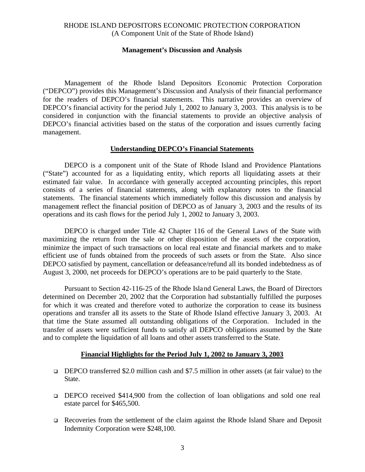#### **Management's Discussion and Analysis**

Management of the Rhode Island Depositors Economic Protection Corporation ("DEPCO") provides this Management's Discussion and Analysis of their financial performance for the readers of DEPCO's financial statements. This narrative provides an overview of DEPCO's financial activity for the period July 1, 2002 to January 3, 2003. This analysis is to be considered in conjunction with the financial statements to provide an objective analysis of DEPCO's financial activities based on the status of the corporation and issues currently facing management.

#### **Understanding DEPCO's Financial Statements**

DEPCO is a component unit of the State of Rhode Island and Providence Plantations ("State") accounted for as a liquidating entity, which reports all liquidating assets at their estimated fair value. In accordance with generally accepted accounting principles, this report consists of a series of financial statements, along with explanatory notes to the financial statements. The financial statements which immediately follow this discussion and analysis by management reflect the financial position of DEPCO as of January 3, 2003 and the results of its operations and its cash flows for the period July 1, 2002 to January 3, 2003.

DEPCO is charged under Title 42 Chapter 116 of the General Laws of the State with maximizing the return from the sale or other disposition of the assets of the corporation, minimize the impact of such transactions on local real estate and financial markets and to make efficient use of funds obtained from the proceeds of such assets or from the State. Also since DEPCO satisfied by payment, cancellation or defeasance/refund all its bonded indebtedness as of August 3, 2000, net proceeds for DEPCO's operations are to be paid quarterly to the State.

Pursuant to Section 42-116-25 of the Rhode Island General Laws, the Board of Directors determined on December 20, 2002 that the Corporation had substantially fulfilled the purposes for which it was created and therefore voted to authorize the corporation to cease its business operations and transfer all its assets to the State of Rhode Island effective January 3, 2003. At that time the State assumed all outstanding obligations of the Corporation. Included in the transfer of assets were sufficient funds to satisfy all DEPCO obligations assumed by the State and to complete the liquidation of all loans and other assets transferred to the State.

#### **Financial Highlights for the Period July 1, 2002 to January 3, 2003**

- <sup>q</sup> DEPCO transferred \$2.0 million cash and \$7.5 million in other assets (at fair value) to the State.
- <sup>q</sup> DEPCO received \$414,900 from the collection of loan obligations and sold one real estate parcel for \$465,500.
- <sup>q</sup> Recoveries from the settlement of the claim against the Rhode Island Share and Deposit Indemnity Corporation were \$248,100.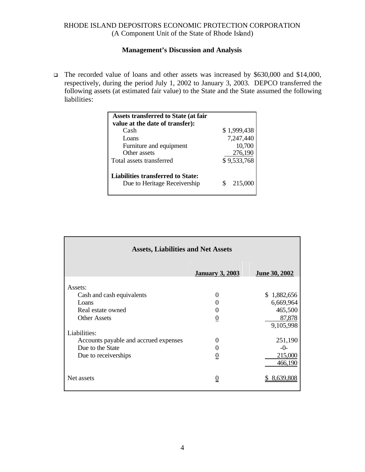## **Management's Discussion and Analysis**

□ The recorded value of loans and other assets was increased by \$630,000 and \$14,000, respectively, during the period July 1, 2002 to January 3, 2003. DEPCO transferred the following assets (at estimated fair value) to the State and the State assumed the following liabilities:

| <b>Assets transferred to State (at fair</b>                              |   |             |
|--------------------------------------------------------------------------|---|-------------|
| value at the date of transfer):                                          |   |             |
| Cash                                                                     |   | \$1,999,438 |
| Loans                                                                    |   | 7,247,440   |
| Furniture and equipment                                                  |   | 10,700      |
| Other assets                                                             |   | 276,190     |
| Total assets transferred                                                 |   | \$9,533,768 |
| <b>Liabilities transferred to State:</b><br>Due to Heritage Receivership | S | 215,000     |

| <b>Assets, Liabilities and Net Assets</b> |                        |                      |  |
|-------------------------------------------|------------------------|----------------------|--|
|                                           | <b>January 3, 2003</b> | <b>June 30, 2002</b> |  |
| Assets:                                   |                        |                      |  |
| Cash and cash equivalents                 | 0                      | \$1,882,656          |  |
| Loans                                     | 0                      | 6,669,964            |  |
| Real estate owned                         | 0                      | 465,500              |  |
| <b>Other Assets</b>                       | $\overline{0}$         | 87,878<br>9,105,998  |  |
| Liabilities:                              |                        |                      |  |
| Accounts payable and accrued expenses     | 0                      | 251,190              |  |
| Due to the State                          | 0                      | $-()$                |  |
| Due to receiverships                      | $\boldsymbol{0}$       | 215,000<br>466,190   |  |
| Net assets                                | $\overline{0}$         | 8,639,808            |  |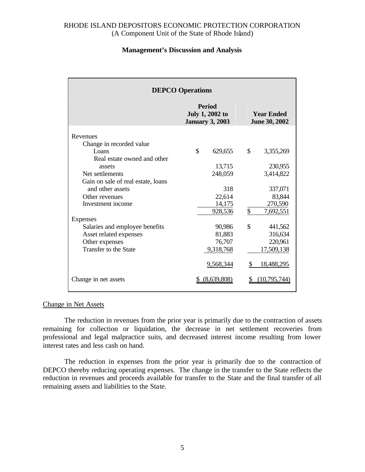#### **Management's Discussion and Analysis**

| <b>DEPCO Operations</b>            |                                                                   |                                           |  |
|------------------------------------|-------------------------------------------------------------------|-------------------------------------------|--|
|                                    | <b>Period</b><br><b>July 1, 2002 to</b><br><b>January 3, 2003</b> | <b>Year Ended</b><br><b>June 30, 2002</b> |  |
| Revenues                           |                                                                   |                                           |  |
| Change in recorded value           |                                                                   |                                           |  |
| L <sub>O</sub> ans                 | $\mathcal{S}$<br>629,655                                          | $\mathbb{S}$<br>3,355,269                 |  |
| Real estate owned and other        |                                                                   |                                           |  |
| assets                             | 13,715                                                            | 230,955                                   |  |
| Net settlements                    | 248,059                                                           | 3,414,822                                 |  |
| Gain on sale of real estate, loans |                                                                   |                                           |  |
| and other assets                   | 318                                                               | 337,071                                   |  |
| Other revenues                     | 22,614                                                            | 83,844                                    |  |
| Investment income                  | 14,175                                                            | 270,590                                   |  |
|                                    | 928,536                                                           | \$<br>7,692,551                           |  |
| Expenses                           |                                                                   |                                           |  |
| Salaries and employee benefits     | 90,986                                                            | \$<br>441,562                             |  |
| Asset related expenses             | 81,883                                                            | 316,634                                   |  |
| Other expenses                     | 76,707                                                            | 220,961                                   |  |
| Transfer to the State              | 9,318,768                                                         | 17,509,138                                |  |
|                                    | 9,568,344                                                         | \$<br>18,488,295                          |  |
| Change in net assets               | (8,639,808)                                                       | (10.795.744)                              |  |

#### Change in Net Assets

The reduction in revenues from the prior year is primarily due to the contraction of assets remaining for collection or liquidation, the decrease in net settlement recoveries from professional and legal malpractice suits, and decreased interest income resulting from lower interest rates and less cash on hand.

The reduction in expenses from the prior year is primarily due to the contraction of DEPCO thereby reducing operating expenses. The change in the transfer to the State reflects the reduction in revenues and proceeds available for transfer to the State and the final transfer of all remaining assets and liabilities to the State.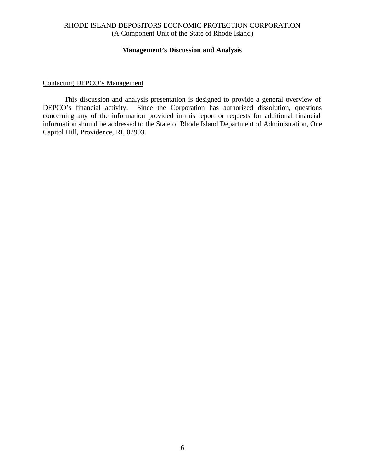#### **Management's Discussion and Analysis**

## Contacting DEPCO's Management

This discussion and analysis presentation is designed to provide a general overview of DEPCO's financial activity. Since the Corporation has authorized dissolution, questions concerning any of the information provided in this report or requests for additional financial information should be addressed to the State of Rhode Island Department of Administration, One Capitol Hill, Providence, RI, 02903.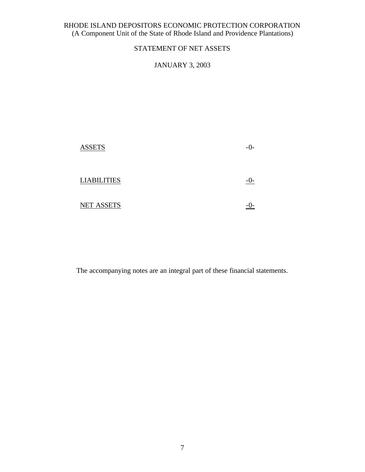# STATEMENT OF NET ASSETS

## JANUARY 3, 2003

| <b>ASSETS</b>      | $-()$ |
|--------------------|-------|
| <b>LIABILITIES</b> |       |
| <b>NET ASSETS</b>  |       |

The accompanying notes are an integral part of these financial statements.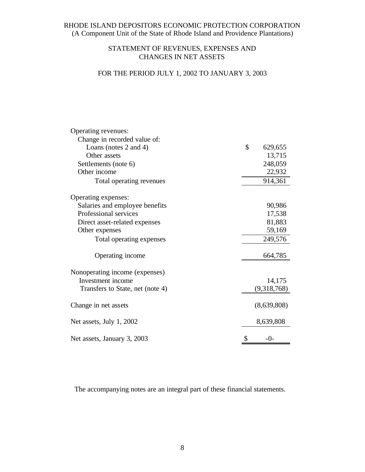## STATEMENT OF REVENUES, EXPENSES AND CHANGES IN NET ASSETS

# FOR THE PERIOD JULY 1, 2002 TO JANUARY 3, 2003

| Operating revenues:              |               |
|----------------------------------|---------------|
| Change in recorded value of:     |               |
| Loans (notes 2 and 4)            | \$<br>629,655 |
| Other assets                     | 13,715        |
| Settlements (note 6)             | 248,059       |
| Other income                     | 22,932        |
| Total operating revenues         | 914,361       |
| Operating expenses:              |               |
| Salaries and employee benefits   | 90,986        |
| Professional services            | 17,538        |
| Direct asset-related expenses    | 81,883        |
| Other expenses                   | 59,169        |
| Total operating expenses         | 249,576       |
| Operating income                 | 664,785       |
| Nonoperating income (expenses)   |               |
| Investment income                | 14,175        |
| Transfers to State, net (note 4) | (9,318,768)   |
| Change in net assets             | (8,639,808)   |
| Net assets, July 1, 2002         | 8,639,808     |
| Net assets, January 3, 2003      | \$<br>-0-     |

The accompanying notes are an integral part of these financial statements.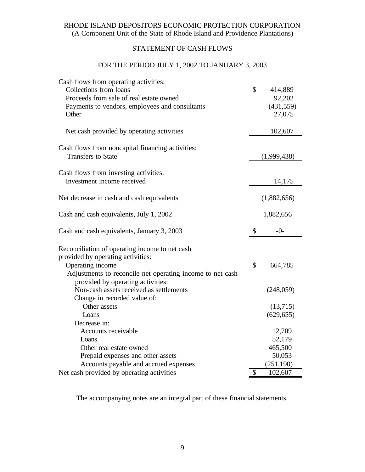# STATEMENT OF CASH FLOWS

## FOR THE PERIOD JULY 1, 2002 TO JANUARY 3, 2003

| Cash flows from operating activities:<br>Collections from loans<br>Proceeds from sale of real estate owned<br>Payments to vendors, employees and consultants<br>Other                                     | \$<br>414,889<br>92,202<br>(431, 559)<br>27,075 |
|-----------------------------------------------------------------------------------------------------------------------------------------------------------------------------------------------------------|-------------------------------------------------|
| Net cash provided by operating activities                                                                                                                                                                 | 102,607                                         |
| Cash flows from noncapital financing activities:<br><b>Transfers to State</b>                                                                                                                             | (1,999,438)                                     |
| Cash flows from investing activities:<br>Investment income received                                                                                                                                       | 14,175                                          |
| Net decrease in cash and cash equivalents                                                                                                                                                                 | (1,882,656)                                     |
| Cash and cash equivalents, July 1, 2002                                                                                                                                                                   | 1,882,656                                       |
| Cash and cash equivalents, January 3, 2003                                                                                                                                                                | \$<br>$-0-$                                     |
| Reconciliation of operating income to net cash<br>provided by operating activities:<br>Operating income<br>Adjustments to reconcile net operating income to net cash<br>provided by operating activities: | \$<br>664,785                                   |
| Non-cash assets received as settlements<br>Change in recorded value of:                                                                                                                                   | (248,059)                                       |
| Other assets<br>Loans                                                                                                                                                                                     | (13,715)<br>(629, 655)                          |
| Decrease in:<br>Accounts receivable<br>Loans                                                                                                                                                              | 12,709<br>52,179                                |
| Other real estate owned<br>Prepaid expenses and other assets                                                                                                                                              | 465,500<br>50,053                               |
| Accounts payable and accrued expenses                                                                                                                                                                     | (251, 190)                                      |
| Net cash provided by operating activities                                                                                                                                                                 | \$<br>102,607                                   |

The accompanying notes are an integral part of these financial statements.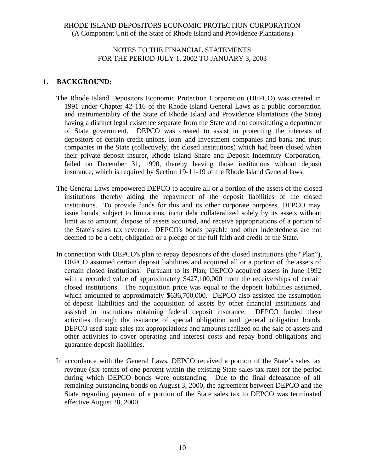### NOTES TO THE FINANCIAL STATEMENTS FOR THE PERIOD JULY 1, 2002 TO JANUARY 3, 2003

## **1. BACKGROUND:**

- The Rhode Island Depositors Economic Protection Corporation (DEPCO) was created in 1991 under Chapter 42-116 of the Rhode Island General Laws as a public corporation and instrumentality of the State of Rhode Island and Providence Plantations (the State) having a distinct legal existence separate from the State and not constituting a department of State government. DEPCO was created to assist in protecting the interests of depositors of certain credit unions, loan and investment companies and bank and trust companies in the State (collectively, the closed institutions) which had been closed when their private deposit insurer, Rhode Island Share and Deposit Indemnity Corporation, failed on December 31, 1990, thereby leaving those institutions without deposit insurance, which is required by Section 19-11-19 of the Rhode Island General laws.
- The General Laws empowered DEPCO to acquire all or a portion of the assets of the closed institutions thereby aiding the repayment of the deposit liabilities of the closed institutions. To provide funds for this and its other corporate purposes, DEPCO may issue bonds, subject to limitations, incur debt collateralized solely by its assets without limit as to amount, dispose of assets acquired, and receive appropriations of a portion of the State's sales tax revenue. DEPCO's bonds payable and other indebtedness are not deemed to be a debt, obligation or a pledge of the full faith and credit of the State.
- In connection with DEPCO's plan to repay depositors of the closed institutions (the "Plan"), DEPCO assumed certain deposit liabilities and acquired all or a portion of the assets of certain closed institutions. Pursuant to its Plan, DEPCO acquired assets in June 1992 with a recorded value of approximately \$427,100,000 from the receiverships of certain closed institutions. The acquisition price was equal to the deposit liabilities assumed, which amounted to approximately \$636,700,000. DEPCO also assisted the assumption of deposit liabilities and the acquisition of assets by other financial institutions and assisted in institutions obtaining federal deposit insurance. DEPCO funded these activities through the issuance of special obligation and general obligation bonds. DEPCO used state sales tax appropriations and amounts realized on the sale of assets and other activities to cover operating and interest costs and repay bond obligations and guarantee deposit liabilities.
- In accordance with the General Laws, DEPCO received a portion of the State's sales tax revenue (six-tenths of one percent within the existing State sales tax rate) for the period during which DEPCO bonds were outstanding. Due to the final defeasance of all remaining outstanding bonds on August 3, 2000, the agreement between DEPCO and the State regarding payment of a portion of the State sales tax to DEPCO was terminated effective August 28, 2000.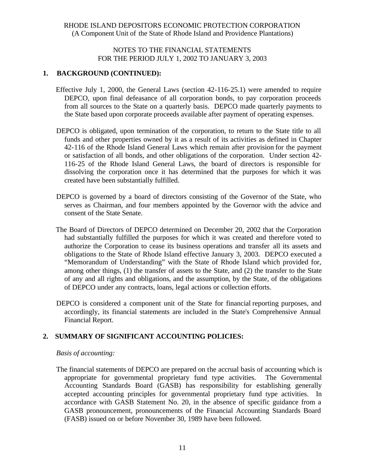### NOTES TO THE FINANCIAL STATEMENTS FOR THE PERIOD JULY 1, 2002 TO JANUARY 3, 2003

#### **1. BACKGROUND (CONTINUED):**

- Effective July 1, 2000, the General Laws (section 42-116-25.1) were amended to require DEPCO, upon final defeasance of all corporation bonds, to pay corporation proceeds from all sources to the State on a quarterly basis. DEPCO made quarterly payments to the State based upon corporate proceeds available after payment of operating expenses.
- DEPCO is obligated, upon termination of the corporation, to return to the State title to all funds and other properties owned by it as a result of its activities as defined in Chapter 42-116 of the Rhode Island General Laws which remain after provision for the payment or satisfaction of all bonds, and other obligations of the corporation. Under section 42- 116-25 of the Rhode Island General Laws, the board of directors is responsible for dissolving the corporation once it has determined that the purposes for which it was created have been substantially fulfilled.
- DEPCO is governed by a board of directors consisting of the Governor of the State, who serves as Chairman, and four members appointed by the Governor with the advice and consent of the State Senate.
- The Board of Directors of DEPCO determined on December 20, 2002 that the Corporation had substantially fulfilled the purposes for which it was created and therefore voted to authorize the Corporation to cease its business operations and transfer all its assets and obligations to the State of Rhode Island effective January 3, 2003. DEPCO executed a "Memorandum of Understanding" with the State of Rhode Island which provided for, among other things, (1) the transfer of assets to the State, and (2) the transfer to the State of any and all rights and obligations, and the assumption, by the State, of the obligations of DEPCO under any contracts, loans, legal actions or collection efforts.
- DEPCO is considered a component unit of the State for financial reporting purposes, and accordingly, its financial statements are included in the State's Comprehensive Annual Financial Report.

#### **2. SUMMARY OF SIGNIFICANT ACCOUNTING POLICIES:**

#### *Basis of accounting:*

The financial statements of DEPCO are prepared on the accrual basis of accounting which is appropriate for governmental proprietary fund type activities. The Governmental Accounting Standards Board (GASB) has responsibility for establishing generally accepted accounting principles for governmental proprietary fund type activities. In accordance with GASB Statement No. 20, in the absence of specific guidance from a GASB pronouncement, pronouncements of the Financial Accounting Standards Board (FASB) issued on or before November 30, 1989 have been followed.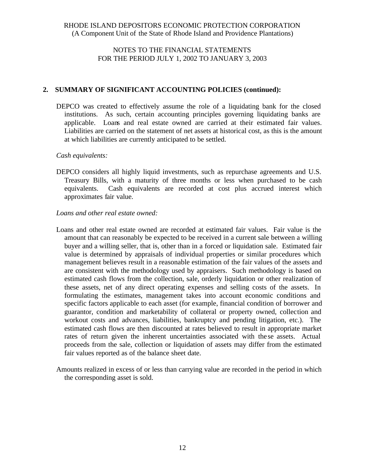## NOTES TO THE FINANCIAL STATEMENTS FOR THE PERIOD JULY 1, 2002 TO JANUARY 3, 2003

### **2. SUMMARY OF SIGNIFICANT ACCOUNTING POLICIES (continued):**

DEPCO was created to effectively assume the role of a liquidating bank for the closed institutions. As such, certain accounting principles governing liquidating banks are applicable. Loans and real estate owned are carried at their estimated fair values. Liabilities are carried on the statement of net assets at historical cost, as this is the amount at which liabilities are currently anticipated to be settled.

#### *Cash equivalents:*

DEPCO considers all highly liquid investments, such as repurchase agreements and U.S. Treasury Bills, with a maturity of three months or less when purchased to be cash equivalents. Cash equivalents are recorded at cost plus accrued interest which approximates fair value.

#### *Loans and other real estate owned:*

- Loans and other real estate owned are recorded at estimated fair values. Fair value is the amount that can reasonably be expected to be received in a current sale between a willing buyer and a willing seller, that is, other than in a forced or liquidation sale. Estimated fair value is determined by appraisals of individual properties or similar procedures which management believes result in a reasonable estimation of the fair values of the assets and are consistent with the methodology used by appraisers. Such methodology is based on estimated cash flows from the collection, sale, orderly liquidation or other realization of these assets, net of any direct operating expenses and selling costs of the assets. In formulating the estimates, management takes into account economic conditions and specific factors applicable to each asset (for example, financial condition of borrower and guarantor, condition and marketability of collateral or property owned, collection and workout costs and advances, liabilities, bankruptcy and pending litigation, etc.). The estimated cash flows are then discounted at rates believed to result in appropriate market rates of return given the inherent uncertainties associated with the se assets. Actual proceeds from the sale, collection or liquidation of assets may differ from the estimated fair values reported as of the balance sheet date.
- Amounts realized in excess of or less than carrying value are recorded in the period in which the corresponding asset is sold.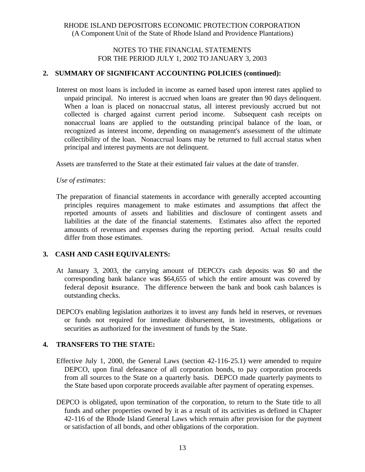### NOTES TO THE FINANCIAL STATEMENTS FOR THE PERIOD JULY 1, 2002 TO JANUARY 3, 2003

### **2. SUMMARY OF SIGNIFICANT ACCOUNTING POLICIES (continued):**

Interest on most loans is included in income as earned based upon interest rates applied to unpaid principal. No interest is accrued when loans are greater than 90 days delinquent. When a loan is placed on nonaccrual status, all interest previously accrued but not collected is charged against current period income. Subsequent cash receipts on nonaccrual loans are applied to the outstanding principal balance of the loan, or recognized as interest income, depending on management's assessment of the ultimate collectibility of the loan. Nonaccrual loans may be returned to full accrual status when principal and interest payments are not delinquent.

Assets are transferred to the State at their estimated fair values at the date of transfer.

#### *Use of estimates:*

The preparation of financial statements in accordance with generally accepted accounting principles requires management to make estimates and assumptions that affect the reported amounts of assets and liabilities and disclosure of contingent assets and liabilities at the date of the financial statements. Estimates also affect the reported amounts of revenues and expenses during the reporting period. Actual results could differ from those estimates.

## **3. CASH AND CASH EQUIVALENTS:**

- At January 3, 2003, the carrying amount of DEPCO's cash deposits was \$0 and the corresponding bank balance was \$64,655 of which the entire amount was covered by federal deposit insurance. The difference between the bank and book cash balances is outstanding checks.
- DEPCO's enabling legislation authorizes it to invest any funds held in reserves, or revenues or funds not required for immediate disbursement, in investments, obligations or securities as authorized for the investment of funds by the State.

#### **4. TRANSFERS TO THE STATE:**

- Effective July 1, 2000, the General Laws (section 42-116-25.1) were amended to require DEPCO, upon final defeasance of all corporation bonds, to pay corporation proceeds from all sources to the State on a quarterly basis. DEPCO made quarterly payments to the State based upon corporate proceeds available after payment of operating expenses.
- DEPCO is obligated, upon termination of the corporation, to return to the State title to all funds and other properties owned by it as a result of its activities as defined in Chapter 42-116 of the Rhode Island General Laws which remain after provision for the payment or satisfaction of all bonds, and other obligations of the corporation.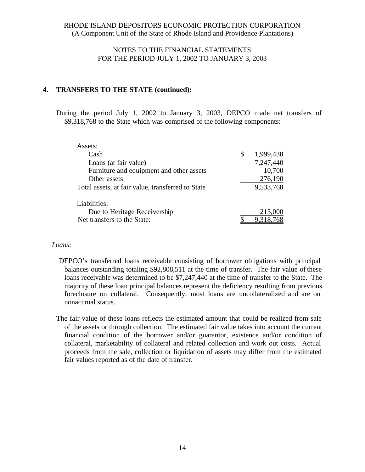### NOTES TO THE FINANCIAL STATEMENTS FOR THE PERIOD JULY 1, 2002 TO JANUARY 3, 2003

#### **4. TRANSFERS TO THE STATE (continued):**

During the period July 1, 2002 to January 3, 2003, DEPCO made net transfers of \$9,318,768 to the State which was comprised of the following components:

| Assets:                                           |                 |
|---------------------------------------------------|-----------------|
| Cash                                              | \$<br>1,999,438 |
| Loans (at fair value)                             | 7,247,440       |
| Furniture and equipment and other assets          | 10,700          |
| Other assets                                      | 276,190         |
| Total assets, at fair value, transferred to State | 9,533,768       |
|                                                   |                 |
| Liabilities:                                      |                 |
| Due to Heritage Receivership                      | 215,000         |
| Net transfers to the State:                       | 9,318,768       |

#### *Loans:*

DEPCO's transferred loans receivable consisting of borrower obligations with principal balances outstanding totaling \$92,808,511 at the time of transfer. The fair value of these loans receivable was determined to be \$7,247,440 at the time of transfer to the State. The majority of these loan principal balances represent the deficiency resulting from previous foreclosure on collateral. Consequently, most loans are uncollateralized and are on nonaccrual status.

The fair value of these loans reflects the estimated amount that could be realized from sale of the assets or through collection. The estimated fair value takes into account the current financial condition of the borrower and/or guarantor, existence and/or condition of collateral, marketability of collateral and related collection and work out costs. Actual proceeds from the sale, collection or liquidation of assets may differ from the estimated fair values reported as of the date of transfer.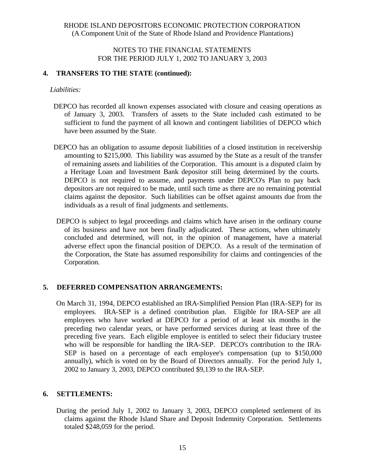### NOTES TO THE FINANCIAL STATEMENTS FOR THE PERIOD JULY 1, 2002 TO JANUARY 3, 2003

#### **4. TRANSFERS TO THE STATE (continued):**

#### *Liabilities:*

- DEPCO has recorded all known expenses associated with closure and ceasing operations as of January 3, 2003. Transfers of assets to the State included cash estimated to be sufficient to fund the payment of all known and contingent liabilities of DEPCO which have been assumed by the State.
- DEPCO has an obligation to assume deposit liabilities of a closed institution in receivership amounting to \$215,000. This liability was assumed by the State as a result of the transfer of remaining assets and liabilities of the Corporation. This amount is a disputed claim by a Heritage Loan and Investment Bank depositor still being determined by the courts. DEPCO is not required to assume, and payments under DEPCO's Plan to pay back depositors are not required to be made, until such time as there are no remaining potential claims against the depositor. Such liabilities can be offset against amounts due from the individuals as a result of final judgments and settlements.
- DEPCO is subject to legal proceedings and claims which have arisen in the ordinary course of its business and have not been finally adjudicated. These actions, when ultimately concluded and determined, will not, in the opinion of management, have a material adverse effect upon the financial position of DEPCO. As a result of the termination of the Corporation, the State has assumed responsibility for claims and contingencies of the Corporation.

## **5. DEFERRED COMPENSATION ARRANGEMENTS:**

On March 31, 1994, DEPCO established an IRA-Simplified Pension Plan (IRA-SEP) for its employees. IRA-SEP is a defined contribution plan. Eligible for IRA-SEP are all employees who have worked at DEPCO for a period of at least six months in the preceding two calendar years, or have performed services during at least three of the preceding five years. Each eligible employee is entitled to select their fiduciary trustee who will be responsible for handling the IRA-SEP. DEPCO's contribution to the IRA-SEP is based on a percentage of each employee's compensation (up to \$150,000 annually), which is voted on by the Board of Directors annually. For the period July 1, 2002 to January 3, 2003, DEPCO contributed \$9,139 to the IRA-SEP.

#### **6. SETTLEMENTS:**

During the period July 1, 2002 to January 3, 2003, DEPCO completed settlement of its claims against the Rhode Island Share and Deposit Indemnity Corporation. Settlements totaled \$248,059 for the period.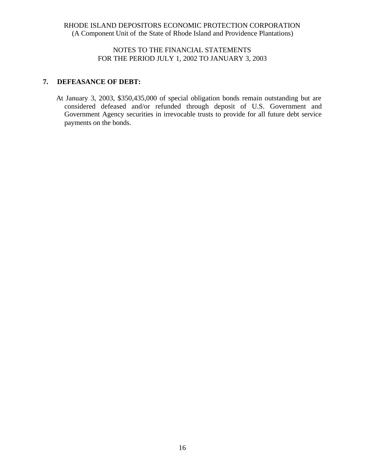## NOTES TO THE FINANCIAL STATEMENTS FOR THE PERIOD JULY 1, 2002 TO JANUARY 3, 2003

## **7. DEFEASANCE OF DEBT:**

At January 3, 2003, \$350,435,000 of special obligation bonds remain outstanding but are considered defeased and/or refunded through deposit of U.S. Government and Government Agency securities in irrevocable trusts to provide for all future debt service payments on the bonds.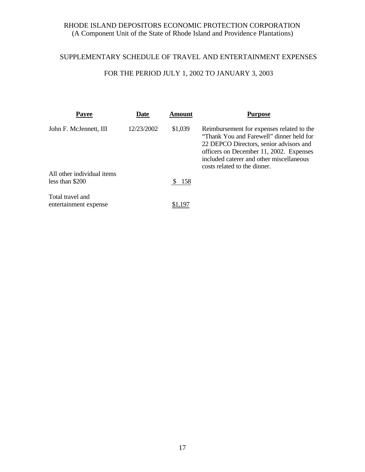# SUPPLEMENTARY SCHEDULE OF TRAVEL AND ENTERTAINMENT EXPENSES

# FOR THE PERIOD JULY 1, 2002 TO JANUARY 3, 2003

| Payee                                     | Date       | <b>Amount</b> | <b>Purpose</b>                                                                                                                                                                                                                                          |
|-------------------------------------------|------------|---------------|---------------------------------------------------------------------------------------------------------------------------------------------------------------------------------------------------------------------------------------------------------|
| John F. McJennett, III                    | 12/23/2002 | \$1,039       | Reimbursement for expenses related to the<br>"Thank You and Farewell" dinner held for<br>22 DEPCO Directors, senior advisors and<br>officers on December 11, 2002. Expenses<br>included caterer and other miscellaneous<br>costs related to the dinner. |
| All other individual items                |            |               |                                                                                                                                                                                                                                                         |
| less than \$200                           |            | \$158         |                                                                                                                                                                                                                                                         |
| Total travel and<br>entertainment expense |            |               |                                                                                                                                                                                                                                                         |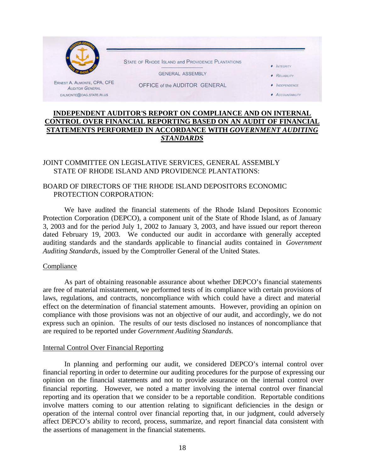

### **INDEPENDENT AUDITOR'S REPORT ON COMPLIANCE AND ON INTERNAL CONTROL OVER FINANCIAL REPORTING BASED ON AN AUDIT OF FINANCIAL STATEMENTS PERFORMED IN ACCORDANCE WITH** *GOVERNMENT AUDITING STANDARDS*

## JOINT COMMITTEE ON LEGISLATIVE SERVICES, GENERAL ASSEMBLY STATE OF RHODE ISLAND AND PROVIDENCE PLANTATIONS:

#### BOARD OF DIRECTORS OF THE RHODE ISLAND DEPOSITORS ECONOMIC PROTECTION CORPORATION:

We have audited the financial statements of the Rhode Island Depositors Economic Protection Corporation (DEPCO), a component unit of the State of Rhode Island, as of January 3, 2003 and for the period July 1, 2002 to January 3, 2003, and have issued our report thereon dated February 19, 2003. We conducted our audit in accordance with generally accepted auditing standards and the standards applicable to financial audits contained in *Government Auditing Standards*, issued by the Comptroller General of the United States.

#### Compliance

As part of obtaining reasonable assurance about whether DEPCO's financial statements are free of material misstatement, we performed tests of its compliance with certain provisions of laws, regulations, and contracts, noncompliance with which could have a direct and material effect on the determination of financial statement amounts. However, providing an opinion on compliance with those provisions was not an objective of our audit, and accordingly, we do not express such an opinion. The results of our tests disclosed no instances of noncompliance that are required to be reported under *Government Auditing Standards.*

#### Internal Control Over Financial Reporting

In planning and performing our audit, we considered DEPCO's internal control over financial reporting in order to determine our auditing procedures for the purpose of expressing our opinion on the financial statements and not to provide assurance on the internal control over financial reporting. However, we noted a matter involving the internal control over financial reporting and its operation that we consider to be a reportable condition. Reportable conditions involve matters coming to our attention relating to significant deficiencies in the design or operation of the internal control over financial reporting that, in our judgment, could adversely affect DEPCO's ability to record, process, summarize, and report financial data consistent with the assertions of management in the financial statements.